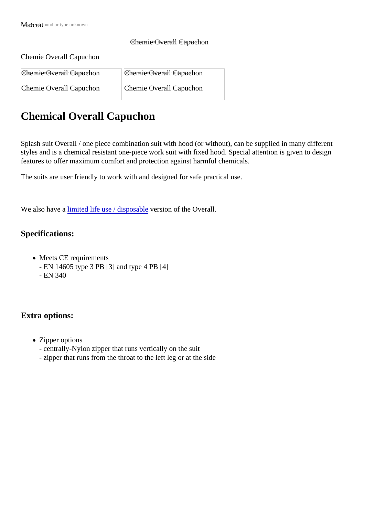## Chemie Overall Capuchon

## Chemie Overall Capuchon

| <b>Chemie Overall Capuchon</b> | <b>Ohemie Overall Capuchon</b> |
|--------------------------------|--------------------------------|
| Chemie Overall Capuchon        | Chemie Overall Capuchon        |

## Chemical Overall Capuchon

Splash suit Overall / one piece combination suit with hood (or without), can be supplied in many different styles and is a chemical resistant one-piece work suit with fixed hood. Special attention is given to design features to offer maximum comfort and protection against harmful chemicals.

The suits are user friendly to work with and designed for safe practical use.

Wealso have *lamited life use / disposable* ersion of the Overall.

Specifications:

- Meets CE requirements
	- EN 14605 type 3 PB [3] and type 4 PB [4]
	- EN 340

Extra options:

- Zipper options
	- centrally-Nylon zipper that runs vertically on the suit
	- zipper that runs from the throat to the left leg or at the side